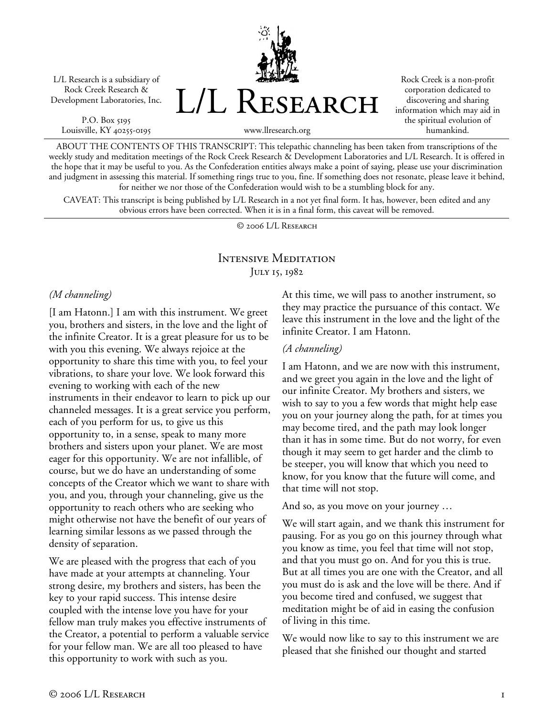L/L Research is a subsidiary of Rock Creek Research & Development Laboratories, Inc.

P.O. Box 5195 Louisville, KY 40255-0195 L/L Research

Rock Creek is a non-profit corporation dedicated to discovering and sharing information which may aid in the spiritual evolution of humankind.

www.llresearch.org

ABOUT THE CONTENTS OF THIS TRANSCRIPT: This telepathic channeling has been taken from transcriptions of the weekly study and meditation meetings of the Rock Creek Research & Development Laboratories and L/L Research. It is offered in the hope that it may be useful to you. As the Confederation entities always make a point of saying, please use your discrimination and judgment in assessing this material. If something rings true to you, fine. If something does not resonate, please leave it behind, for neither we nor those of the Confederation would wish to be a stumbling block for any.

CAVEAT: This transcript is being published by L/L Research in a not yet final form. It has, however, been edited and any obvious errors have been corrected. When it is in a final form, this caveat will be removed.

© 2006 L/L Research

# Intensive Meditation JULY 15, 1982

#### *(M channeling)*

[I am Hatonn.] I am with this instrument. We greet you, brothers and sisters, in the love and the light of the infinite Creator. It is a great pleasure for us to be with you this evening. We always rejoice at the opportunity to share this time with you, to feel your vibrations, to share your love. We look forward this evening to working with each of the new instruments in their endeavor to learn to pick up our channeled messages. It is a great service you perform, each of you perform for us, to give us this opportunity to, in a sense, speak to many more brothers and sisters upon your planet. We are most eager for this opportunity. We are not infallible, of course, but we do have an understanding of some concepts of the Creator which we want to share with you, and you, through your channeling, give us the opportunity to reach others who are seeking who might otherwise not have the benefit of our years of learning similar lessons as we passed through the density of separation.

We are pleased with the progress that each of you have made at your attempts at channeling. Your strong desire, my brothers and sisters, has been the key to your rapid success. This intense desire coupled with the intense love you have for your fellow man truly makes you effective instruments of the Creator, a potential to perform a valuable service for your fellow man. We are all too pleased to have this opportunity to work with such as you.

At this time, we will pass to another instrument, so they may practice the pursuance of this contact. We leave this instrument in the love and the light of the infinite Creator. I am Hatonn.

#### *(A channeling)*

I am Hatonn, and we are now with this instrument, and we greet you again in the love and the light of our infinite Creator. My brothers and sisters, we wish to say to you a few words that might help ease you on your journey along the path, for at times you may become tired, and the path may look longer than it has in some time. But do not worry, for even though it may seem to get harder and the climb to be steeper, you will know that which you need to know, for you know that the future will come, and that time will not stop.

And so, as you move on your journey …

We will start again, and we thank this instrument for pausing. For as you go on this journey through what you know as time, you feel that time will not stop, and that you must go on. And for you this is true. But at all times you are one with the Creator, and all you must do is ask and the love will be there. And if you become tired and confused, we suggest that meditation might be of aid in easing the confusion of living in this time.

We would now like to say to this instrument we are pleased that she finished our thought and started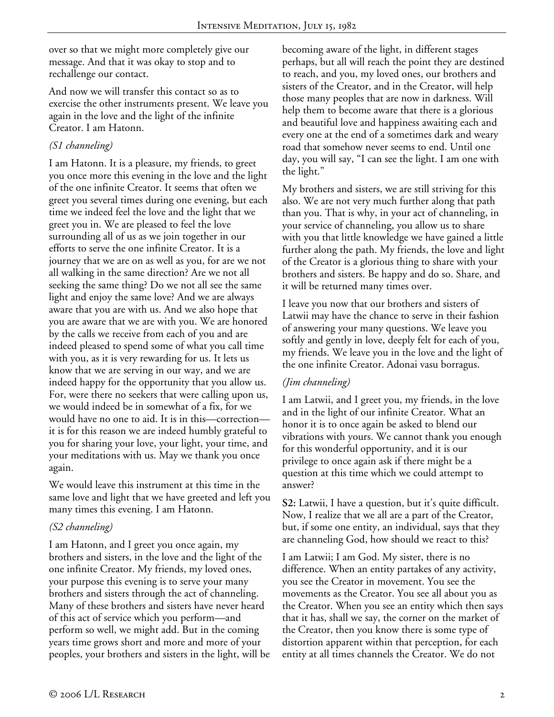over so that we might more completely give our message. And that it was okay to stop and to rechallenge our contact.

And now we will transfer this contact so as to exercise the other instruments present. We leave you again in the love and the light of the infinite Creator. I am Hatonn.

## *(S1 channeling)*

I am Hatonn. It is a pleasure, my friends, to greet you once more this evening in the love and the light of the one infinite Creator. It seems that often we greet you several times during one evening, but each time we indeed feel the love and the light that we greet you in. We are pleased to feel the love surrounding all of us as we join together in our efforts to serve the one infinite Creator. It is a journey that we are on as well as you, for are we not all walking in the same direction? Are we not all seeking the same thing? Do we not all see the same light and enjoy the same love? And we are always aware that you are with us. And we also hope that you are aware that we are with you. We are honored by the calls we receive from each of you and are indeed pleased to spend some of what you call time with you, as it is very rewarding for us. It lets us know that we are serving in our way, and we are indeed happy for the opportunity that you allow us. For, were there no seekers that were calling upon us, we would indeed be in somewhat of a fix, for we would have no one to aid. It is in this—correction it is for this reason we are indeed humbly grateful to you for sharing your love, your light, your time, and your meditations with us. May we thank you once again.

We would leave this instrument at this time in the same love and light that we have greeted and left you many times this evening. I am Hatonn.

## *(S2 channeling)*

I am Hatonn, and I greet you once again, my brothers and sisters, in the love and the light of the one infinite Creator. My friends, my loved ones, your purpose this evening is to serve your many brothers and sisters through the act of channeling. Many of these brothers and sisters have never heard of this act of service which you perform—and perform so well, we might add. But in the coming years time grows short and more and more of your peoples, your brothers and sisters in the light, will be becoming aware of the light, in different stages perhaps, but all will reach the point they are destined to reach, and you, my loved ones, our brothers and sisters of the Creator, and in the Creator, will help those many peoples that are now in darkness. Will help them to become aware that there is a glorious and beautiful love and happiness awaiting each and every one at the end of a sometimes dark and weary road that somehow never seems to end. Until one day, you will say, "I can see the light. I am one with the light."

My brothers and sisters, we are still striving for this also. We are not very much further along that path than you. That is why, in your act of channeling, in your service of channeling, you allow us to share with you that little knowledge we have gained a little further along the path. My friends, the love and light of the Creator is a glorious thing to share with your brothers and sisters. Be happy and do so. Share, and it will be returned many times over.

I leave you now that our brothers and sisters of Latwii may have the chance to serve in their fashion of answering your many questions. We leave you softly and gently in love, deeply felt for each of you, my friends. We leave you in the love and the light of the one infinite Creator. Adonai vasu borragus.

### *(Jim channeling)*

I am Latwii, and I greet you, my friends, in the love and in the light of our infinite Creator. What an honor it is to once again be asked to blend our vibrations with yours. We cannot thank you enough for this wonderful opportunity, and it is our privilege to once again ask if there might be a question at this time which we could attempt to answer?

**S2:** Latwii, I have a question, but it's quite difficult. Now, I realize that we all are a part of the Creator, but, if some one entity, an individual, says that they are channeling God, how should we react to this?

I am Latwii; I am God. My sister, there is no difference. When an entity partakes of any activity, you see the Creator in movement. You see the movements as the Creator. You see all about you as the Creator. When you see an entity which then says that it has, shall we say, the corner on the market of the Creator, then you know there is some type of distortion apparent within that perception, for each entity at all times channels the Creator. We do not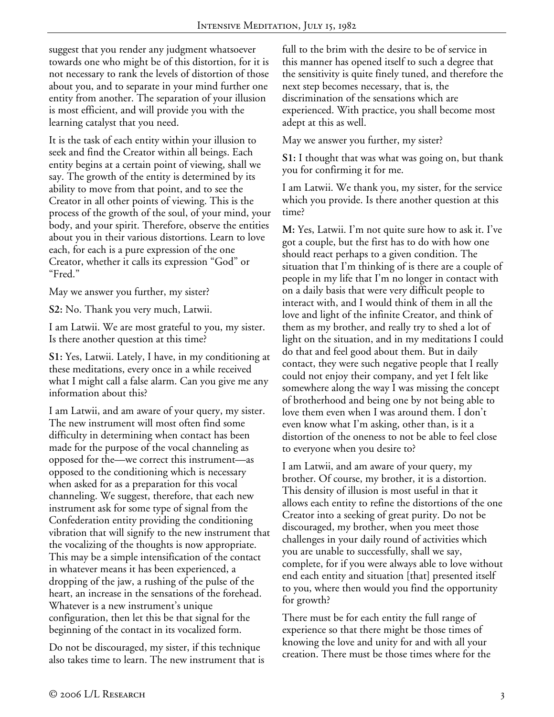suggest that you render any judgment whatsoever towards one who might be of this distortion, for it is not necessary to rank the levels of distortion of those about you, and to separate in your mind further one entity from another. The separation of your illusion is most efficient, and will provide you with the learning catalyst that you need.

It is the task of each entity within your illusion to seek and find the Creator within all beings. Each entity begins at a certain point of viewing, shall we say. The growth of the entity is determined by its ability to move from that point, and to see the Creator in all other points of viewing. This is the process of the growth of the soul, of your mind, your body, and your spirit. Therefore, observe the entities about you in their various distortions. Learn to love each, for each is a pure expression of the one Creator, whether it calls its expression "God" or "Fred."

May we answer you further, my sister?

**S2:** No. Thank you very much, Latwii.

I am Latwii. We are most grateful to you, my sister. Is there another question at this time?

**S1:** Yes, Latwii. Lately, I have, in my conditioning at these meditations, every once in a while received what I might call a false alarm. Can you give me any information about this?

I am Latwii, and am aware of your query, my sister. The new instrument will most often find some difficulty in determining when contact has been made for the purpose of the vocal channeling as opposed for the—we correct this instrument—as opposed to the conditioning which is necessary when asked for as a preparation for this vocal channeling. We suggest, therefore, that each new instrument ask for some type of signal from the Confederation entity providing the conditioning vibration that will signify to the new instrument that the vocalizing of the thoughts is now appropriate. This may be a simple intensification of the contact in whatever means it has been experienced, a dropping of the jaw, a rushing of the pulse of the heart, an increase in the sensations of the forehead. Whatever is a new instrument's unique configuration, then let this be that signal for the beginning of the contact in its vocalized form.

Do not be discouraged, my sister, if this technique also takes time to learn. The new instrument that is full to the brim with the desire to be of service in this manner has opened itself to such a degree that the sensitivity is quite finely tuned, and therefore the next step becomes necessary, that is, the discrimination of the sensations which are experienced. With practice, you shall become most adept at this as well.

May we answer you further, my sister?

**S1:** I thought that was what was going on, but thank you for confirming it for me.

I am Latwii. We thank you, my sister, for the service which you provide. Is there another question at this time?

**M:** Yes, Latwii. I'm not quite sure how to ask it. I've got a couple, but the first has to do with how one should react perhaps to a given condition. The situation that I'm thinking of is there are a couple of people in my life that I'm no longer in contact with on a daily basis that were very difficult people to interact with, and I would think of them in all the love and light of the infinite Creator, and think of them as my brother, and really try to shed a lot of light on the situation, and in my meditations I could do that and feel good about them. But in daily contact, they were such negative people that I really could not enjoy their company, and yet I felt like somewhere along the way I was missing the concept of brotherhood and being one by not being able to love them even when I was around them. I don't even know what I'm asking, other than, is it a distortion of the oneness to not be able to feel close to everyone when you desire to?

I am Latwii, and am aware of your query, my brother. Of course, my brother, it is a distortion. This density of illusion is most useful in that it allows each entity to refine the distortions of the one Creator into a seeking of great purity. Do not be discouraged, my brother, when you meet those challenges in your daily round of activities which you are unable to successfully, shall we say, complete, for if you were always able to love without end each entity and situation [that] presented itself to you, where then would you find the opportunity for growth?

There must be for each entity the full range of experience so that there might be those times of knowing the love and unity for and with all your creation. There must be those times where for the